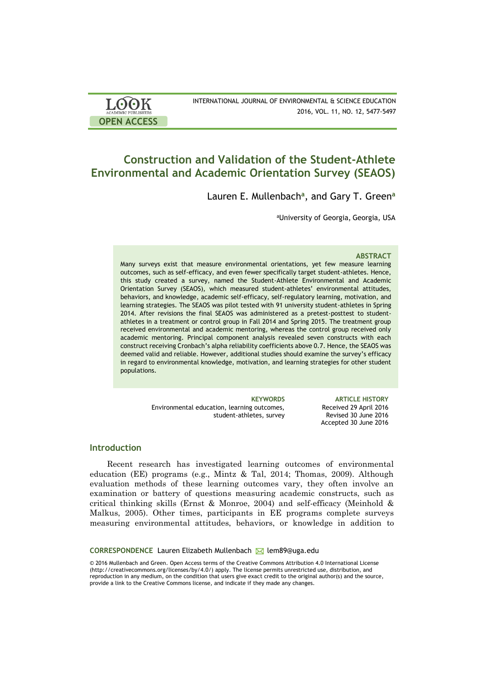| <b>LOOK</b>                | INTERNATIONAL JOURNAL OF ENVIRONMENTAL & SCIENCE EDUCATION |
|----------------------------|------------------------------------------------------------|
| <b>ACADEMIC PUBLISHERS</b> | 2016, VOL. 11, NO. 12, 5477-5497                           |
| <b>OPEN ACCESS</b>         |                                                            |

# **Construction and Validation of the Student-Athlete Environmental and Academic Orientation Survey (SEAOS)**

Lauren E. Mullenbach**<sup>a</sup>** , and Gary T. Green**<sup>a</sup>**

<sup>a</sup>University of Georgia, Georgia, USA

#### **ABSTRACT**

Many surveys exist that measure environmental orientations, yet few measure learning outcomes, such as self-efficacy, and even fewer specifically target student-athletes. Hence, this study created a survey, named the Student-Athlete Environmental and Academic Orientation Survey (SEAOS), which measured student-athletes' environmental attitudes, behaviors, and knowledge, academic self-efficacy, self-regulatory learning, motivation, and learning strategies. The SEAOS was pilot tested with 91 university student-athletes in Spring 2014. After revisions the final SEAOS was administered as a pretest-posttest to studentathletes in a treatment or control group in Fall 2014 and Spring 2015. The treatment group received environmental and academic mentoring, whereas the control group received only academic mentoring. Principal component analysis revealed seven constructs with each construct receiving Cronbach's alpha reliability coefficients above 0.7. Hence, the SEAOS was deemed valid and reliable. However, additional studies should examine the survey's efficacy in regard to environmental knowledge, motivation, and learning strategies for other student populations.

> Environmental education, learning outcomes, student-athletes, survey

**KEYWORDS ARTICLE HISTORY** Received 29 April 2016 Revised 30 June 2016 Accepted 30 June 2016

#### **Introduction**

Recent research has investigated learning outcomes of environmental education (EE) programs (e.g., Mintz & Tal, 2014; Thomas, 2009). Although evaluation methods of these learning outcomes vary, they often involve an examination or battery of questions measuring academic constructs, such as critical thinking skills (Ernst & Monroe, 2004) and self-efficacy (Meinhold & Malkus, 2005). Other times, participants in EE programs complete surveys measuring environmental attitudes, behaviors, or knowledge in addition to

**CORRESPONDENCE** Lauren Elizabeth Mullenbach M lem89@uga.edu

© 2016 Mullenbach and Green. Open Access terms of the Creative Commons Attribution 4.0 International License (http://creativecommons.org/licenses/by/4.0/) apply. The license permits unrestricted use, distribution, and reproduction in any medium, on the condition that users give exact credit to the original author(s) and the source, provide a link to the Creative Commons license, and indicate if they made any changes.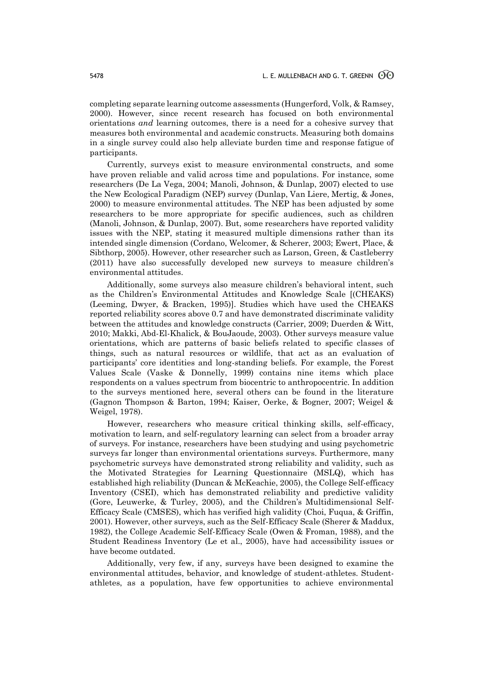completing separate learning outcome assessments (Hungerford, Volk, & Ramsey, 2000). However, since recent research has focused on both environmental orientations *and* learning outcomes, there is a need for a cohesive survey that measures both environmental and academic constructs. Measuring both domains in a single survey could also help alleviate burden time and response fatigue of participants.

Currently, surveys exist to measure environmental constructs, and some have proven reliable and valid across time and populations. For instance, some researchers (De La Vega, 2004; Manoli, Johnson, & Dunlap, 2007) elected to use the New Ecological Paradigm (NEP) survey (Dunlap, Van Liere, Mertig, & Jones, 2000) to measure environmental attitudes. The NEP has been adjusted by some researchers to be more appropriate for specific audiences, such as children (Manoli, Johnson, & Dunlap, 2007). But, some researchers have reported validity issues with the NEP, stating it measured multiple dimensions rather than its intended single dimension (Cordano, Welcomer, & Scherer, 2003; Ewert, Place, & Sibthorp, 2005). However, other researcher such as Larson, Green, & Castleberry (2011) have also successfully developed new surveys to measure children's environmental attitudes.

Additionally, some surveys also measure children's behavioral intent, such as the Children's Environmental Attitudes and Knowledge Scale [(CHEAKS) (Leeming, Dwyer, & Bracken, 1995)]. Studies which have used the CHEAKS reported reliability scores above 0.7 and have demonstrated discriminate validity between the attitudes and knowledge constructs (Carrier, 2009; Duerden & Witt, 2010; Makki, Abd-El-Khalick, & BouJaoude, 2003). Other surveys measure value orientations, which are patterns of basic beliefs related to specific classes of things, such as natural resources or wildlife, that act as an evaluation of participants' core identities and long-standing beliefs. For example, the Forest Values Scale (Vaske & Donnelly, 1999) contains nine items which place respondents on a values spectrum from biocentric to anthropocentric. In addition to the surveys mentioned here, several others can be found in the literature (Gagnon Thompson & Barton, 1994; Kaiser, Oerke, & Bogner, 2007; Weigel & Weigel, 1978).

However, researchers who measure critical thinking skills, self-efficacy, motivation to learn, and self-regulatory learning can select from a broader array of surveys. For instance, researchers have been studying and using psychometric surveys far longer than environmental orientations surveys. Furthermore, many psychometric surveys have demonstrated strong reliability and validity, such as the Motivated Strategies for Learning Questionnaire (MSLQ), which has established high reliability (Duncan & McKeachie, 2005), the College Self-efficacy Inventory (CSEI), which has demonstrated reliability and predictive validity (Gore, Leuwerke, & Turley, 2005), and the Children's Multidimensional Self-Efficacy Scale (CMSES), which has verified high validity (Choi, Fuqua, & Griffin, 2001). However, other surveys, such as the Self-Efficacy Scale (Sherer & Maddux, 1982), the College Academic Self-Efficacy Scale (Owen & Froman, 1988), and the Student Readiness Inventory (Le et al., 2005), have had accessibility issues or have become outdated.

Additionally, very few, if any, surveys have been designed to examine the environmental attitudes, behavior, and knowledge of student-athletes. Studentathletes, as a population, have few opportunities to achieve environmental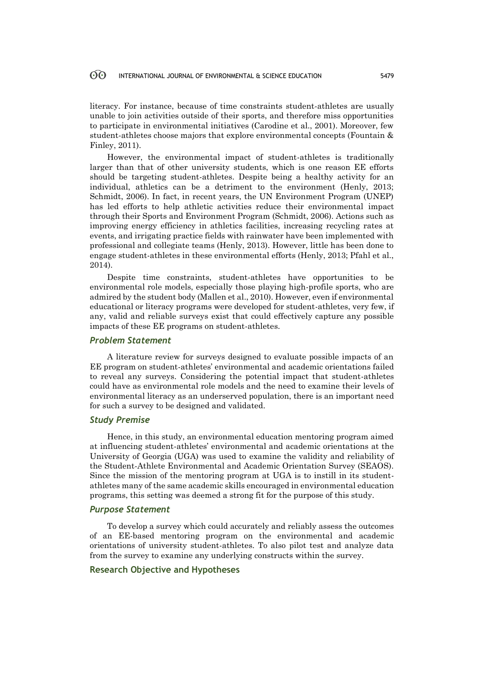literacy. For instance, because of time constraints student-athletes are usually unable to join activities outside of their sports, and therefore miss opportunities to participate in environmental initiatives (Carodine et al., 2001). Moreover, few student-athletes choose majors that explore environmental concepts (Fountain & Finley, 2011).

However, the environmental impact of student-athletes is traditionally larger than that of other university students, which is one reason EE efforts should be targeting student-athletes. Despite being a healthy activity for an individual, athletics can be a detriment to the environment (Henly, 2013; Schmidt, 2006). In fact, in recent years, the UN Environment Program (UNEP) has led efforts to help athletic activities reduce their environmental impact through their Sports and Environment Program (Schmidt, 2006). Actions such as improving energy efficiency in athletics facilities, increasing recycling rates at events, and irrigating practice fields with rainwater have been implemented with professional and collegiate teams (Henly, 2013). However, little has been done to engage student-athletes in these environmental efforts (Henly, 2013; Pfahl et al., 2014).

Despite time constraints, student-athletes have opportunities to be environmental role models, especially those playing high-profile sports, who are admired by the student body (Mallen et al., 2010). However, even if environmental educational or literacy programs were developed for student-athletes, very few, if any, valid and reliable surveys exist that could effectively capture any possible impacts of these EE programs on student-athletes.

#### *Problem Statement*

A literature review for surveys designed to evaluate possible impacts of an EE program on student-athletes' environmental and academic orientations failed to reveal any surveys. Considering the potential impact that student-athletes could have as environmental role models and the need to examine their levels of environmental literacy as an underserved population, there is an important need for such a survey to be designed and validated.

#### *Study Premise*

Hence, in this study, an environmental education mentoring program aimed at influencing student-athletes' environmental and academic orientations at the University of Georgia (UGA) was used to examine the validity and reliability of the Student-Athlete Environmental and Academic Orientation Survey (SEAOS). Since the mission of the mentoring program at UGA is to instill in its studentathletes many of the same academic skills encouraged in environmental education programs, this setting was deemed a strong fit for the purpose of this study.

### *Purpose Statement*

To develop a survey which could accurately and reliably assess the outcomes of an EE-based mentoring program on the environmental and academic orientations of university student-athletes. To also pilot test and analyze data from the survey to examine any underlying constructs within the survey.

### **Research Objective and Hypotheses**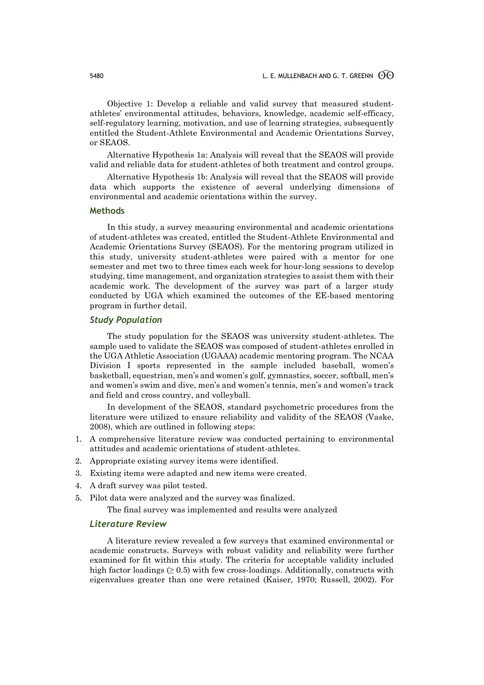Objective 1: Develop a reliable and valid survey that measured studentathletes' environmental attitudes, behaviors, knowledge, academic self-efficacy, self-regulatory learning, motivation, and use of learning strategies, subsequently entitled the Student-Athlete Environmental and Academic Orientations Survey, or SEAOS.

Alternative Hypothesis 1a: Analysis will reveal that the SEAOS will provide valid and reliable data for student-athletes of both treatment and control groups.

Alternative Hypothesis 1b: Analysis will reveal that the SEAOS will provide data which supports the existence of several underlying dimensions of environmental and academic orientations within the survey.

#### **Methods**

In this study, a survey measuring environmental and academic orientations of student-athletes was created, entitled the Student-Athlete Environmental and Academic Orientations Survey (SEAOS). For the mentoring program utilized in this study, university student-athletes were paired with a mentor for one semester and met two to three times each week for hour-long sessions to develop studying, time management, and organization strategies to assist them with their academic work. The development of the survey was part of a larger study conducted by UGA which examined the outcomes of the EE-based mentoring program in further detail.

### *Study Population*

The study population for the SEAOS was university student-athletes. The sample used to validate the SEAOS was composed of student-athletes enrolled in the UGA Athletic Association (UGAAA) academic mentoring program. The NCAA Division I sports represented in the sample included baseball, women's basketball, equestrian, men's and women's golf, gymnastics, soccer, softball, men's and women's swim and dive, men's and women's tennis, men's and women's track and field and cross country, and volleyball.

In development of the SEAOS, standard psychometric procedures from the literature were utilized to ensure reliability and validity of the SEAOS (Vaske, 2008), which are outlined in following steps:

- 1. A comprehensive literature review was conducted pertaining to environmental attitudes and academic orientations of student-athletes.
- 2. Appropriate existing survey items were identified.
- 3. Existing items were adapted and new items were created.
- 4. A draft survey was pilot tested.
- 5. Pilot data were analyzed and the survey was finalized.

The final survey was implemented and results were analyzed

#### *Literature Review*

A literature review revealed a few surveys that examined environmental or academic constructs. Surveys with robust validity and reliability were further examined for fit within this study. The criteria for acceptable validity included high factor loadings  $(≥ 0.5)$  with few cross-loadings. Additionally, constructs with eigenvalues greater than one were retained (Kaiser, 1970; Russell, 2002). For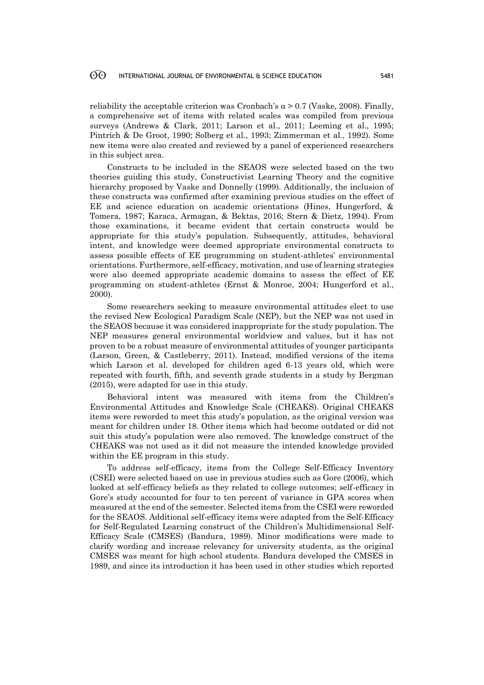reliability the acceptable criterion was Cronbach's  $\alpha > 0.7$  (Vaske, 2008). Finally, a comprehensive set of items with related scales was compiled from previous surveys (Andrews & Clark, 2011; Larson et al., 2011; Leeming et al., 1995; Pintrich & De Groot, 1990; Solberg et al., 1993; Zimmerman et al., 1992). Some new items were also created and reviewed by a panel of experienced researchers in this subject area.

Constructs to be included in the SEAOS were selected based on the two theories guiding this study, Constructivist Learning Theory and the cognitive hierarchy proposed by Vaske and Donnelly (1999). Additionally, the inclusion of these constructs was confirmed after examining previous studies on the effect of EE and science education on academic orientations (Hines, Hungerford, & Tomera, 1987; Karaca, Armagan, & Bektas, 2016; Stern & Dietz, 1994). From those examinations, it became evident that certain constructs would be appropriate for this study's population. Subsequently, attitudes, behavioral intent, and knowledge were deemed appropriate environmental constructs to assess possible effects of EE programming on student-athletes' environmental orientations. Furthermore, self-efficacy, motivation, and use of learning strategies were also deemed appropriate academic domains to assess the effect of EE programming on student-athletes (Ernst & Monroe, 2004; Hungerford et al., 2000).

Some researchers seeking to measure environmental attitudes elect to use the revised New Ecological Paradigm Scale (NEP), but the NEP was not used in the SEAOS because it was considered inappropriate for the study population. The NEP measures general environmental worldview and values, but it has not proven to be a robust measure of environmental attitudes of younger participants (Larson, Green, & Castleberry, 2011). Instead, modified versions of the items which Larson et al. developed for children aged 6-13 years old, which were repeated with fourth, fifth, and seventh grade students in a study by Bergman (2015), were adapted for use in this study.

Behavioral intent was measured with items from the Children's Environmental Attitudes and Knowledge Scale (CHEAKS). Original CHEAKS items were reworded to meet this study's population, as the original version was meant for children under 18. Other items which had become outdated or did not suit this study's population were also removed. The knowledge construct of the CHEAKS was not used as it did not measure the intended knowledge provided within the EE program in this study.

To address self-efficacy, items from the College Self-Efficacy Inventory (CSEI) were selected based on use in previous studies such as Gore (2006), which looked at self-efficacy beliefs as they related to college outcomes; self-efficacy in Gore's study accounted for four to ten percent of variance in GPA scores when measured at the end of the semester. Selected items from the CSEI were reworded for the SEAOS. Additional self-efficacy items were adapted from the Self-Efficacy for Self-Regulated Learning construct of the Children's Multidimensional Self-Efficacy Scale (CMSES) (Bandura, 1989). Minor modifications were made to clarify wording and increase relevancy for university students, as the original CMSES was meant for high school students. Bandura developed the CMSES in 1989, and since its introduction it has been used in other studies which reported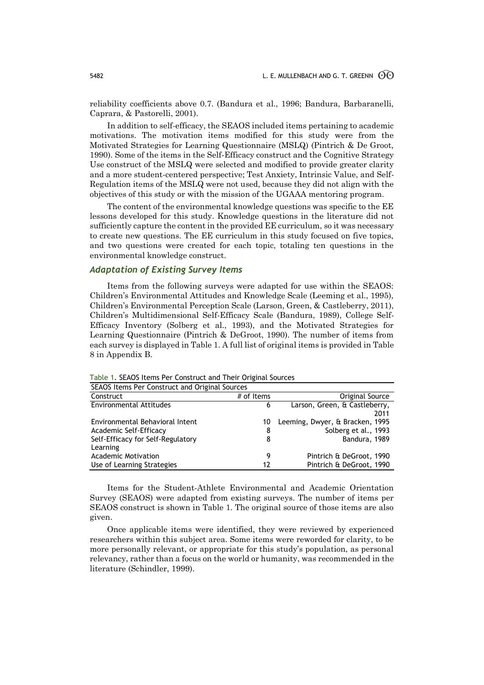reliability coefficients above 0.7. (Bandura et al., 1996; Bandura, Barbaranelli, Caprara, & Pastorelli, 2001).

In addition to self-efficacy, the SEAOS included items pertaining to academic motivations. The motivation items modified for this study were from the Motivated Strategies for Learning Questionnaire (MSLQ) (Pintrich & De Groot, 1990). Some of the items in the Self-Efficacy construct and the Cognitive Strategy Use construct of the MSLQ were selected and modified to provide greater clarity and a more student-centered perspective; Test Anxiety, Intrinsic Value, and Self-Regulation items of the MSLQ were not used, because they did not align with the objectives of this study or with the mission of the UGAAA mentoring program.

The content of the environmental knowledge questions was specific to the EE lessons developed for this study. Knowledge questions in the literature did not sufficiently capture the content in the provided EE curriculum, so it was necessary to create new questions. The EE curriculum in this study focused on five topics, and two questions were created for each topic, totaling ten questions in the environmental knowledge construct.

### *Adaptation of Existing Survey Items*

Items from the following surveys were adapted for use within the SEAOS: Children's Environmental Attitudes and Knowledge Scale (Leeming et al., 1995), Children's Environmental Perception Scale (Larson, Green, & Castleberry, 2011), Children's Multidimensional Self-Efficacy Scale (Bandura, 1989), College Self-Efficacy Inventory (Solberg et al., 1993), and the Motivated Strategies for Learning Questionnaire (Pintrich & DeGroot, 1990). The number of items from each survey is displayed in Table 1. A full list of original items is provided in Table 8 in Appendix B.

| SEAOS Items Per Construct and Original Sources |            |                                 |
|------------------------------------------------|------------|---------------------------------|
| Construct                                      | # of Items | Original Source                 |
| <b>Environmental Attitudes</b>                 | 6          | Larson, Green, & Castleberry,   |
|                                                |            | 2011                            |
| Environmental Behavioral Intent                | 10         | Leeming, Dwyer, & Bracken, 1995 |
| Academic Self-Efficacy                         | 8          | Solberg et al., 1993            |
| Self-Efficacy for Self-Regulatory              | 8          | Bandura, 1989                   |
| Learning                                       |            |                                 |
| <b>Academic Motivation</b>                     | 9          | Pintrich & DeGroot, 1990        |
| Use of Learning Strategies                     | 17         | Pintrich & DeGroot, 1990        |

Table 1. SEAOS Items Per Construct and Their Original Sources

Items for the Student-Athlete Environmental and Academic Orientation Survey (SEAOS) were adapted from existing surveys. The number of items per SEAOS construct is shown in Table 1. The original source of those items are also given.

Once applicable items were identified, they were reviewed by experienced researchers within this subject area. Some items were reworded for clarity, to be more personally relevant, or appropriate for this study's population, as personal relevancy, rather than a focus on the world or humanity, was recommended in the literature (Schindler, 1999).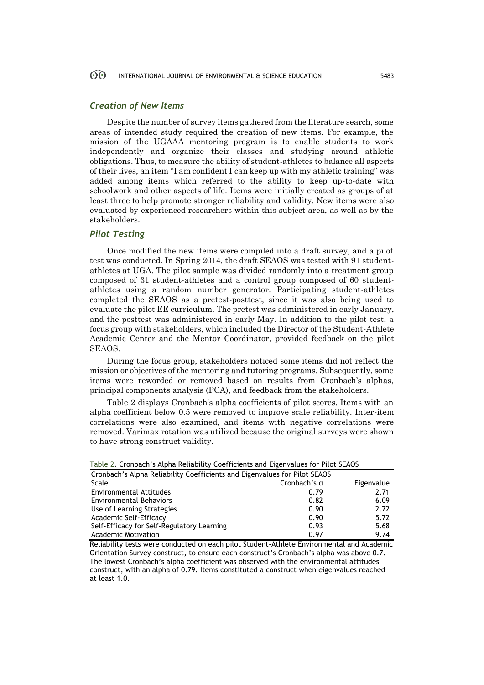### *Creation of New Items*

Despite the number of survey items gathered from the literature search, some areas of intended study required the creation of new items. For example, the mission of the UGAAA mentoring program is to enable students to work independently and organize their classes and studying around athletic obligations. Thus, to measure the ability of student-athletes to balance all aspects of their lives, an item "I am confident I can keep up with my athletic training" was added among items which referred to the ability to keep up-to-date with schoolwork and other aspects of life. Items were initially created as groups of at least three to help promote stronger reliability and validity. New items were also evaluated by experienced researchers within this subject area, as well as by the stakeholders.

### *Pilot Testing*

Once modified the new items were compiled into a draft survey, and a pilot test was conducted. In Spring 2014, the draft SEAOS was tested with 91 studentathletes at UGA. The pilot sample was divided randomly into a treatment group composed of 31 student-athletes and a control group composed of 60 studentathletes using a random number generator. Participating student-athletes completed the SEAOS as a pretest-posttest, since it was also being used to evaluate the pilot EE curriculum. The pretest was administered in early January, and the posttest was administered in early May. In addition to the pilot test, a focus group with stakeholders, which included the Director of the Student-Athlete Academic Center and the Mentor Coordinator, provided feedback on the pilot SEAOS.

During the focus group, stakeholders noticed some items did not reflect the mission or objectives of the mentoring and tutoring programs. Subsequently, some items were reworded or removed based on results from Cronbach's alphas, principal components analysis (PCA), and feedback from the stakeholders.

Table 2 displays Cronbach's alpha coefficients of pilot scores. Items with an alpha coefficient below 0.5 were removed to improve scale reliability. Inter-item correlations were also examined, and items with negative correlations were removed. Varimax rotation was utilized because the original surveys were shown to have strong construct validity.

| Cronbach's Alpha Reliability Coefficients and Eigenvalues for Pilot SEAOS |                     |            |
|---------------------------------------------------------------------------|---------------------|------------|
| Scale                                                                     | Cronbach's $\alpha$ | Eigenvalue |
| <b>Environmental Attitudes</b>                                            | 0.79                | 2.71       |
| <b>Environmental Behaviors</b>                                            | 0.82                | 6.09       |
| Use of Learning Strategies                                                | 0.90                | 2.72       |
| Academic Self-Efficacy                                                    | 0.90                | 5.72       |
| Self-Efficacy for Self-Regulatory Learning                                | 0.93                | 5.68       |
| <b>Academic Motivation</b>                                                | 0.97                | 9.74       |

Table 2. Cronbach's Alpha Reliability Coefficients and Eigenvalues for Pilot SEAOS

Reliability tests were conducted on each pilot Student-Athlete Environmental and Academic Orientation Survey construct, to ensure each construct's Cronbach's alpha was above 0.7. The lowest Cronbach's alpha coefficient was observed with the environmental attitudes construct, with an alpha of 0.79. Items constituted a construct when eigenvalues reached at least 1.0.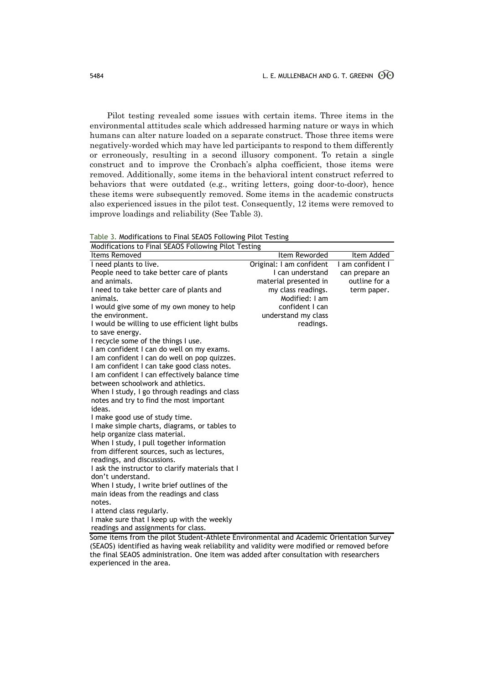Pilot testing revealed some issues with certain items. Three items in the environmental attitudes scale which addressed harming nature or ways in which humans can alter nature loaded on a separate construct. Those three items were negatively-worded which may have led participants to respond to them differently or erroneously, resulting in a second illusory component. To retain a single construct and to improve the Cronbach's alpha coefficient, those items were removed. Additionally, some items in the behavioral intent construct referred to behaviors that were outdated (e.g., writing letters, going door-to-door), hence these items were subsequently removed. Some items in the academic constructs also experienced issues in the pilot test. Consequently, 12 items were removed to improve loadings and reliability (See Table 3).

| Table 3. Modifications to Final SEAOS Following Pilot Testing |  |  |  |
|---------------------------------------------------------------|--|--|--|
|                                                               |  |  |  |

| Modifications to Final SEAOS Following Pilot Testing                                    |                          |                  |
|-----------------------------------------------------------------------------------------|--------------------------|------------------|
| Items Removed                                                                           | Item Reworded            | Item Added       |
| I need plants to live.                                                                  | Original: I am confident | I am confident I |
| People need to take better care of plants                                               | I can understand         | can prepare an   |
| and animals.                                                                            | material presented in    | outline for a    |
| I need to take better care of plants and                                                | my class readings.       | term paper.      |
| animals.                                                                                | Modified: I am           |                  |
| I would give some of my own money to help                                               | confident I can          |                  |
| the environment.                                                                        | understand my class      |                  |
| I would be willing to use efficient light bulbs                                         | readings.                |                  |
| to save energy.                                                                         |                          |                  |
| I recycle some of the things I use.                                                     |                          |                  |
| I am confident I can do well on my exams.                                               |                          |                  |
| I am confident I can do well on pop quizzes.                                            |                          |                  |
| I am confident I can take good class notes.                                             |                          |                  |
| I am confident I can effectively balance time                                           |                          |                  |
| between schoolwork and athletics.                                                       |                          |                  |
| When I study, I go through readings and class                                           |                          |                  |
| notes and try to find the most important                                                |                          |                  |
| ideas.                                                                                  |                          |                  |
| I make good use of study time.                                                          |                          |                  |
| I make simple charts, diagrams, or tables to                                            |                          |                  |
| help organize class material.                                                           |                          |                  |
| When I study, I pull together information                                               |                          |                  |
| from different sources, such as lectures,                                               |                          |                  |
| readings, and discussions.                                                              |                          |                  |
| I ask the instructor to clarify materials that I<br>don't understand.                   |                          |                  |
| When I study, I write brief outlines of the                                             |                          |                  |
| main ideas from the readings and class                                                  |                          |                  |
| notes.                                                                                  |                          |                  |
| I attend class regularly.                                                               |                          |                  |
| I make sure that I keep up with the weekly                                              |                          |                  |
| readings and assignments for class.                                                     |                          |                  |
| Some items from the pilot Student-Athlete Environmental and Academic Orientation Survey |                          |                  |

Some items from the pilot Student-Athlete Environmental and Academic Orientation Survey (SEAOS) identified as having weak reliability and validity were modified or removed before the final SEAOS administration. One item was added after consultation with researchers experienced in the area.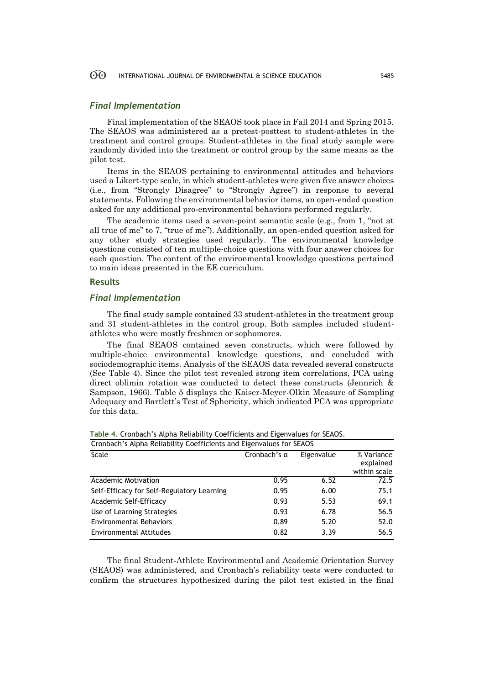### *Final Implementation*

Final implementation of the SEAOS took place in Fall 2014 and Spring 2015. The SEAOS was administered as a pretest-posttest to student-athletes in the treatment and control groups. Student-athletes in the final study sample were randomly divided into the treatment or control group by the same means as the pilot test.

Items in the SEAOS pertaining to environmental attitudes and behaviors used a Likert-type scale, in which student-athletes were given five answer choices (i.e., from "Strongly Disagree" to "Strongly Agree") in response to several statements. Following the environmental behavior items, an open-ended question asked for any additional pro-environmental behaviors performed regularly.

The academic items used a seven-point semantic scale (e.g., from 1, "not at all true of me" to 7, "true of me"). Additionally, an open-ended question asked for any other study strategies used regularly. The environmental knowledge questions consisted of ten multiple-choice questions with four answer choices for each question. The content of the environmental knowledge questions pertained to main ideas presented in the EE curriculum.

#### **Results**

#### *Final Implementation*

The final study sample contained 33 student-athletes in the treatment group and 31 student-athletes in the control group. Both samples included studentathletes who were mostly freshmen or sophomores.

The final SEAOS contained seven constructs, which were followed by multiple-choice environmental knowledge questions, and concluded with sociodemographic items. Analysis of the SEAOS data revealed several constructs (See Table 4). Since the pilot test revealed strong item correlations, PCA using direct oblimin rotation was conducted to detect these constructs (Jennrich & Sampson, 1966). Table 5 displays the Kaiser-Meyer-Olkin Measure of Sampling Adequacy and Bartlett's Test of Sphericity, which indicated PCA was appropriate for this data.

| Cronbach's Alpha Reliability Coefficients and Eigenvalues for SEAOS |                     |            |                                         |
|---------------------------------------------------------------------|---------------------|------------|-----------------------------------------|
| Scale                                                               | Cronbach's $\alpha$ | Eigenvalue | % Variance<br>explained<br>within scale |
| <b>Academic Motivation</b>                                          | 0.95                | 6.52       | 72.5                                    |
| Self-Efficacy for Self-Regulatory Learning                          | 0.95                | 6.00       | 75.1                                    |
| Academic Self-Efficacy                                              | 0.93                | 5.53       | 69.1                                    |
| Use of Learning Strategies                                          | 0.93                | 6.78       | 56.5                                    |
| <b>Environmental Behaviors</b>                                      | 0.89                | 5.20       | 52.0                                    |
| <b>Environmental Attitudes</b>                                      | 0.82                | 3.39       | 56.5                                    |

**Table 4.** Cronbach's Alpha Reliability Coefficients and Eigenvalues for SEAOS.

The final Student-Athlete Environmental and Academic Orientation Survey (SEAOS) was administered, and Cronbach's reliability tests were conducted to confirm the structures hypothesized during the pilot test existed in the final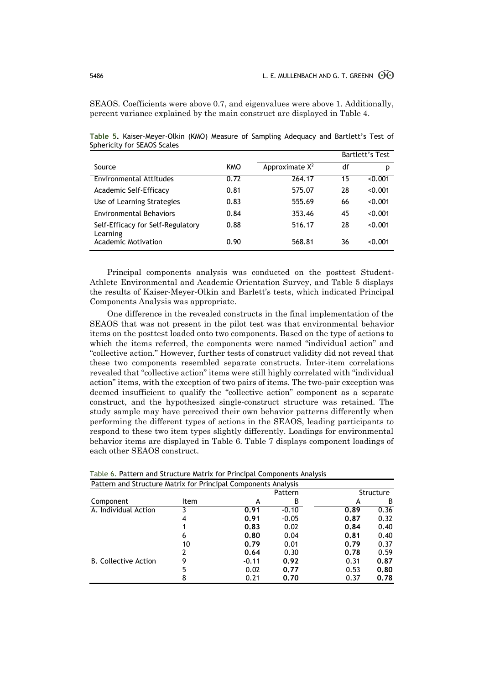SEAOS. Coefficients were above 0.7, and eigenvalues were above 1. Additionally, percent variance explained by the main construct are displayed in Table 4.

|                                               |            |                   |    | Bartlett's Test |
|-----------------------------------------------|------------|-------------------|----|-----------------|
| Source                                        | <b>KMO</b> | Approximate $X^2$ | df | р               |
| Environmental Attitudes                       | 0.72       | 264.17            | 15 | < 0.001         |
| Academic Self-Efficacy                        | 0.81       | 575.07            | 28 | < 0.001         |
| Use of Learning Strategies                    | 0.83       | 555.69            | 66 | < 0.001         |
| <b>Environmental Behaviors</b>                | 0.84       | 353.46            | 45 | < 0.001         |
| Self-Efficacy for Self-Regulatory<br>Learning | 0.88       | 516.17            | 28 | < 0.001         |
| Academic Motivation                           | 0.90       | 568.81            | 36 | < 0.001         |

**Table 5.** Kaiser-Meyer-Olkin (KMO) Measure of Sampling Adequacy and Bartlett's Test of Sphericity for SEAOS Scales

Principal components analysis was conducted on the posttest Student-Athlete Environmental and Academic Orientation Survey, and Table 5 displays the results of Kaiser-Meyer-Olkin and Barlett's tests, which indicated Principal Components Analysis was appropriate.

One difference in the revealed constructs in the final implementation of the SEAOS that was not present in the pilot test was that environmental behavior items on the posttest loaded onto two components. Based on the type of actions to which the items referred, the components were named "individual action" and "collective action." However, further tests of construct validity did not reveal that these two components resembled separate constructs. Inter-item correlations revealed that "collective action" items were still highly correlated with "individual action" items, with the exception of two pairs of items. The two-pair exception was deemed insufficient to qualify the "collective action" component as a separate construct, and the hypothesized single-construct structure was retained. The study sample may have perceived their own behavior patterns differently when performing the different types of actions in the SEAOS, leading participants to respond to these two item types slightly differently. Loadings for environmental behavior items are displayed in Table 6. Table 7 displays component loadings of each other SEAOS construct.

| Pattern and Structure Matrix for Principal Components Analysis |             |         |         |      |                  |
|----------------------------------------------------------------|-------------|---------|---------|------|------------------|
|                                                                |             |         | Pattern |      | <b>Structure</b> |
| Component                                                      | <b>Item</b> | А       | B       | А    | B                |
| A. Individual Action                                           |             | 0.91    | $-0.10$ | 0.89 | 0.36             |
|                                                                | 4           | 0.91    | $-0.05$ | 0.87 | 0.32             |
|                                                                |             | 0.83    | 0.02    | 0.84 | 0.40             |
|                                                                | 6           | 0.80    | 0.04    | 0.81 | 0.40             |
|                                                                | 10          | 0.79    | 0.01    | 0.79 | 0.37             |
|                                                                |             | 0.64    | 0.30    | 0.78 | 0.59             |
| <b>B.</b> Collective Action                                    |             | $-0.11$ | 0.92    | 0.31 | 0.87             |
|                                                                |             | 0.02    | 0.77    | 0.53 | 0.80             |
|                                                                |             | 0.21    | 0.70    | 0.37 | 0.78             |

Table 6. Pattern and Structure Matrix for Principal Components Analysis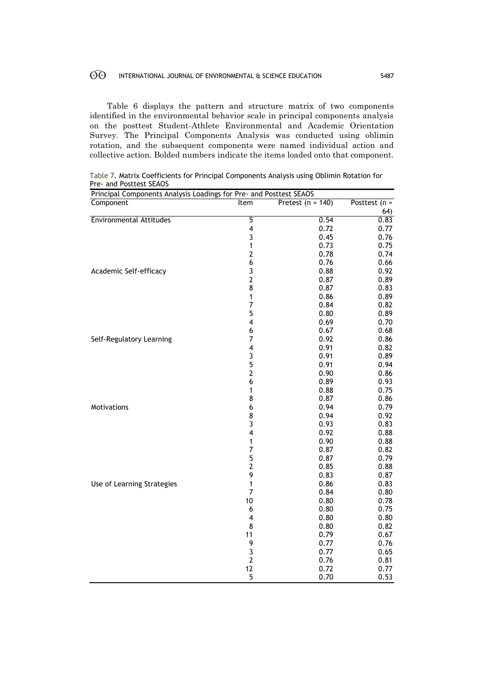Table 6 displays the pattern and structure matrix of two components identified in the environmental behavior scale in principal components analysis on the posttest Student-Athlete Environmental and Academic Orientation Survey. The Principal Components Analysis was conducted using oblimin rotation, and the subsequent components were named individual action and collective action. Bolded numbers indicate the items loaded onto that component.

| Principal Components Analysis Loadings for Pre- and Posttest SEAOS |                         |                     |                 |
|--------------------------------------------------------------------|-------------------------|---------------------|-----------------|
| Component                                                          | Item                    | Pretest $(n = 140)$ | Posttest $(n =$ |
|                                                                    |                         |                     | 64)             |
| <b>Environmental Attitudes</b>                                     | 5                       | 0.54                | 0.83            |
|                                                                    | 4                       | 0.72                | 0.77            |
|                                                                    | 3                       | 0.45                | 0.76            |
|                                                                    | 1                       | 0.73                | 0.75            |
|                                                                    | $\overline{2}$          | 0.78                | 0.74            |
|                                                                    | 6                       | 0.76                | 0.66            |
| Academic Self-efficacy                                             | $\frac{3}{2}$           | 0.88                | 0.92            |
|                                                                    |                         | 0.87                | 0.89            |
|                                                                    | 8                       | 0.87                | 0.83            |
|                                                                    | 1                       | 0.86                | 0.89            |
|                                                                    | $\overline{7}$          | 0.84                | 0.82            |
|                                                                    | 5                       | 0.80                | 0.89            |
|                                                                    | 4                       | 0.69                | 0.70            |
|                                                                    | 6                       | 0.67                | 0.68            |
| Self-Regulatory Learning                                           | 7                       | 0.92                | 0.86            |
|                                                                    | 4                       | 0.91                | 0.82            |
|                                                                    | $\overline{\mathbf{3}}$ | 0.91                | 0.89            |
|                                                                    | 5                       | 0.91                | 0.94            |
|                                                                    | $\overline{\mathbf{c}}$ | 0.90                | 0.86            |
|                                                                    | 6                       | 0.89                | 0.93            |
|                                                                    | 1                       | 0.88                | 0.75            |
|                                                                    | 8                       | 0.87                | 0.86            |
| Motivations                                                        | 6                       | 0.94                | 0.79            |
|                                                                    | $\frac{8}{3}$           | 0.94                | 0.92            |
|                                                                    |                         | 0.93                | 0.83            |
|                                                                    | $\overline{\mathbf{4}}$ | 0.92                | 0.88            |
|                                                                    | 1                       | 0.90                | 0.88            |
|                                                                    | 7                       | 0.87                | 0.82            |
|                                                                    | 5                       | 0.87                | 0.79            |
|                                                                    | $\overline{\mathbf{c}}$ | 0.85                | 0.88            |
|                                                                    | 9                       | 0.83                | 0.87            |
| Use of Learning Strategies                                         | 1                       | 0.86                | 0.83            |
|                                                                    | $\overline{7}$          | 0.84                | 0.80            |
|                                                                    | 10                      | 0.80                | 0.78            |
|                                                                    | $\boldsymbol{6}$        | 0.80                | 0.75            |
|                                                                    | $\overline{\mathbf{4}}$ | 0.80                | 0.80            |
|                                                                    | 8                       | 0.80                | 0.82            |
|                                                                    | 11                      | 0.79                | 0.67            |
|                                                                    | 9                       | 0.77                | 0.76            |
|                                                                    | 3                       | 0.77                | 0.65            |
|                                                                    | $\overline{2}$          | 0.76                | 0.81            |
|                                                                    | 12                      | 0.72                | 0.77            |
|                                                                    | 5                       | 0.70                | 0.53            |

Table 7. Matrix Coefficients for Principal Components Analysis using Oblimin Rotation for Pre- and Posttest SEAOS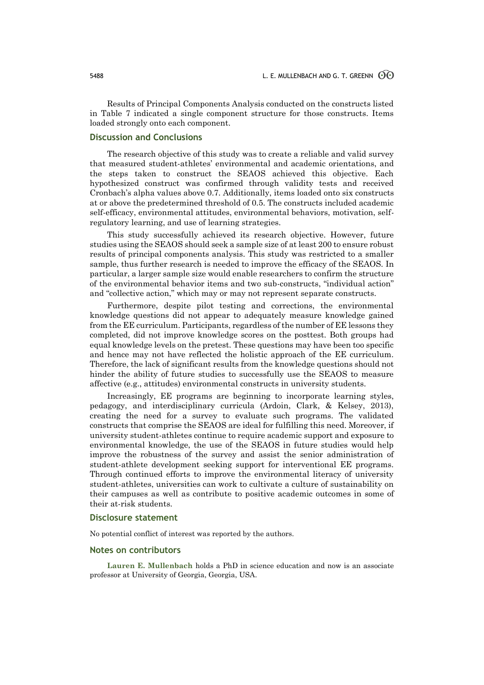Results of Principal Components Analysis conducted on the constructs listed in Table 7 indicated a single component structure for those constructs. Items loaded strongly onto each component.

## **Discussion and Conclusions**

The research objective of this study was to create a reliable and valid survey that measured student-athletes' environmental and academic orientations, and the steps taken to construct the SEAOS achieved this objective. Each hypothesized construct was confirmed through validity tests and received Cronbach's alpha values above 0.7. Additionally, items loaded onto six constructs at or above the predetermined threshold of 0.5. The constructs included academic self-efficacy, environmental attitudes, environmental behaviors, motivation, selfregulatory learning, and use of learning strategies.

This study successfully achieved its research objective. However, future studies using the SEAOS should seek a sample size of at least 200 to ensure robust results of principal components analysis. This study was restricted to a smaller sample, thus further research is needed to improve the efficacy of the SEAOS. In particular, a larger sample size would enable researchers to confirm the structure of the environmental behavior items and two sub-constructs, "individual action" and "collective action," which may or may not represent separate constructs.

Furthermore, despite pilot testing and corrections, the environmental knowledge questions did not appear to adequately measure knowledge gained from the EE curriculum. Participants, regardless of the number of EE lessons they completed, did not improve knowledge scores on the posttest. Both groups had equal knowledge levels on the pretest. These questions may have been too specific and hence may not have reflected the holistic approach of the EE curriculum. Therefore, the lack of significant results from the knowledge questions should not hinder the ability of future studies to successfully use the SEAOS to measure affective (e.g., attitudes) environmental constructs in university students.

Increasingly, EE programs are beginning to incorporate learning styles, pedagogy, and interdisciplinary curricula (Ardoin, Clark, & Kelsey, 2013), creating the need for a survey to evaluate such programs. The validated constructs that comprise the SEAOS are ideal for fulfilling this need. Moreover, if university student-athletes continue to require academic support and exposure to environmental knowledge, the use of the SEAOS in future studies would help improve the robustness of the survey and assist the senior administration of student-athlete development seeking support for interventional EE programs. Through continued efforts to improve the environmental literacy of university student-athletes, universities can work to cultivate a culture of sustainability on their campuses as well as contribute to positive academic outcomes in some of their at-risk students.

#### **Disclosure statement**

No potential conflict of interest was reported by the authors.

#### **Notes on contributors**

**Lauren E. Mullenbach** holds a PhD in science education and now is an associate professor at University of Georgia, Georgia, USA.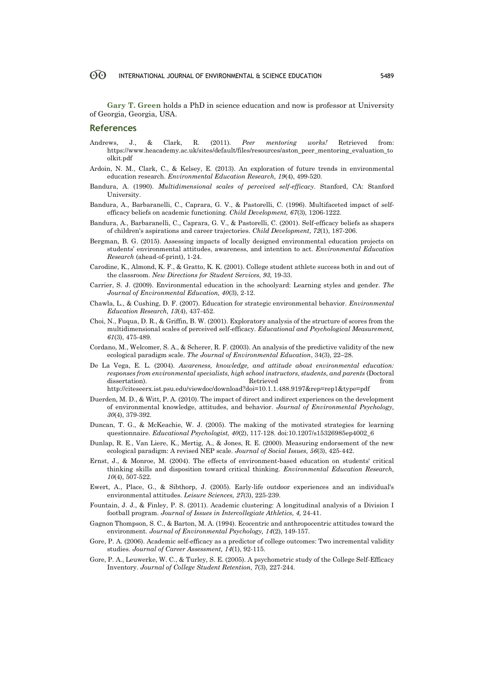**Gary T. Green** holds a PhD in science education and now is professor at University of Georgia, Georgia, USA.

#### **References**

- Andrews, J., & Clark, R. (2011). *Peer mentoring works!* Retrieved from: https://www.heacademy.ac.uk/sites/default/files/resources/aston\_peer\_mentoring\_evaluation\_to olkit.pdf
- Ardoin, N. M., Clark, C., & Kelsey, E. (2013). An exploration of future trends in environmental education research. *Environmental Education Research, 19*(4), 499-520.
- Bandura, A. (1990). *Multidimensional scales of perceived self-efficacy*. Stanford, CA: Stanford University.
- Bandura, A., Barbaranelli, C., Caprara, G. V., & Pastorelli, C. (1996). Multifaceted impact of self‐ efficacy beliefs on academic functioning. *Child Development, 67*(3), 1206-1222.
- Bandura, A., Barbaranelli, C., Caprara, G. V., & Pastorelli, C. (2001). Self‐efficacy beliefs as shapers of children's aspirations and career trajectories. *Child Development, 72*(1), 187-206.
- Bergman, B. G. (2015). Assessing impacts of locally designed environmental education projects on students' environmental attitudes, awareness, and intention to act. *Environmental Education Research* (ahead-of-print), 1-24.
- Carodine, K., Almond, K. F., & Gratto, K. K. (2001). College student athlete success both in and out of the classroom. *New Directions for Student Services, 93,* 19-33.
- Carrier, S. J. (2009). Environmental education in the schoolyard: Learning styles and gender. *The Journal of Environmental Education, 40*(3), 2-12.
- Chawla, L., & Cushing, D. F. (2007). Education for strategic environmental behavior. *Environmental Education Research, 13*(4), 437-452.
- Choi, N., Fuqua, D. R., & Griffin, B. W. (2001). Exploratory analysis of the structure of scores from the multidimensional scales of perceived self-efficacy. *Educational and Psychological Measurement, 61*(3), 475-489.
- Cordano, M., Welcomer, S. A., & Scherer, R. F. (2003). An analysis of the predictive validity of the new ecological paradigm scale. *The Journal of Environmental Education*, 34(3), 22–28.
- De La Vega, E. L. (2004). *Awareness, knowledge, and attitude about environmental education: responses from environmental specialists, high school instructors, students, and parents* (Doctoral dissertation). The retrieved contract the series of the series of the series of the series of the series of the series of the series of the series of the series of the series of the series of the series of the series of th http://citeseerx.ist.psu.edu/viewdoc/download?doi=10.1.1.488.9197&rep=rep1&type=pdf
- Duerden, M. D., & Witt, P. A. (2010). The impact of direct and indirect experiences on the development of environmental knowledge, attitudes, and behavior. *Journal of Environmental Psychology, 30*(4), 379-392.
- Duncan, T. G., & McKeachie, W. J. (2005). The making of the motivated strategies for learning questionnaire. *Educational Psychologist, 40*(2), 117-128. doi:10.1207/s15326985ep4002\_6
- Dunlap, R. E., Van Liere, K., Mertig, A., & Jones, R. E. (2000). Measuring endorsement of the new ecological paradigm: A revised NEP scale. *Journal of Social Issues, 56*(3), 425-442.
- Ernst, J., & Monroe, M. (2004). The effects of environment‐based education on students' critical thinking skills and disposition toward critical thinking. *Environmental Education Research, 10*(4), 507-522.
- Ewert, A., Place, G., & Sibthorp, J. (2005). Early-life outdoor experiences and an individual's environmental attitudes. *Leisure Sciences, 27*(3), 225-239.
- Fountain, J. J., & Finley, P. S. (2011). Academic clustering: A longitudinal analysis of a Division I football program. *Journal of Issues in Intercollegiate Athletics, 4,* 24-41.
- Gagnon Thompson, S. C., & Barton, M. A. (1994). Ecocentric and anthropocentric attitudes toward the environment. *Journal of Environmental Psychology, 14*(2), 149-157.
- Gore, P. A. (2006). Academic self-efficacy as a predictor of college outcomes: Two incremental validity studies. *Journal of Career Assessment, 14*(1), 92-115.
- Gore, P. A., Leuwerke, W. C., & Turley, S. E. (2005). A psychometric study of the College Self-Efficacy Inventory. *Journal of College Student Retention, 7*(3), 227-244.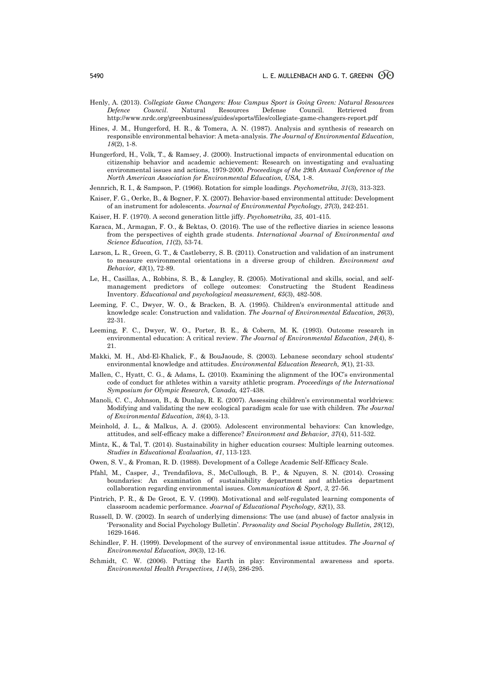- Henly, A. (2013). *Collegiate Game Changers: How Campus Sport is Going Green: Natural Resources Defence Council*. Natural Resources Defense Council. Retrieved from http://www.nrdc.org/greenbusiness/guides/sports/files/collegiate-game-changers-report.pdf
- Hines, J. M., Hungerford, H. R., & Tomera, A. N. (1987). Analysis and synthesis of research on responsible environmental behavior: A meta-analysis. *The Journal of Environmental Education, 18*(2), 1-8.
- Hungerford, H., Volk, T., & Ramsey, J. (2000). Instructional impacts of environmental education on citizenship behavior and academic achievement: Research on investigating and evaluating environmental issues and actions, 1979-2000*. Proceedings of the 29th Annual Conference of the North American Association for Environmental Education, USA,* 1-8.
- Jennrich, R. I., & Sampson, P. (1966). Rotation for simple loadings. *Psychometrika, 31*(3), 313-323.
- Kaiser, F. G., Oerke, B., & Bogner, F. X. (2007). Behavior-based environmental attitude: Development of an instrument for adolescents. *Journal of Environmental Psychology, 27*(3), 242-251.
- Kaiser, H. F. (1970). A second generation little jiffy. *Psychometrika, 35,* 401-415.
- Karaca, M., Armagan, F. O., & Bektas, O. (2016). The use of the reflective diaries in science lessons from the perspectives of eighth grade students. *International Journal of Environmental and Science Education, 11*(2), 53-74.
- Larson, L. R., Green, G. T., & Castleberry, S. B. (2011). Construction and validation of an instrument to measure environmental orientations in a diverse group of children. *Environment and Behavior, 43*(1), 72-89.
- Le, H., Casillas, A., Robbins, S. B., & Langley, R. (2005). Motivational and skills, social, and selfmanagement predictors of college outcomes: Constructing the Student Readiness Inventory. *Educational and psychological measurement*, *65*(3), 482-508.
- Leeming, F. C., Dwyer, W. O., & Bracken, B. A. (1995). Children's environmental attitude and knowledge scale: Construction and validation. *The Journal of Environmental Education, 26*(3), 22-31.
- Leeming, F. C., Dwyer, W. O., Porter, B. E., & Cobern, M. K. (1993). Outcome research in environmental education: A critical review. *The Journal of Environmental Education*, *24*(4), 8- 21.
- Makki, M. H., Abd-El-Khalick, F., & BouJaoude, S. (2003). Lebanese secondary school students' environmental knowledge and attitudes. *Environmental Education Research, 9*(1), 21-33.
- Mallen, C., Hyatt, C. G., & Adams, L. (2010). Examining the alignment of the IOC's environmental code of conduct for athletes within a varsity athletic program*. Proceedings of the International Symposium for Olympic Research, Canada,* 427-438.
- Manoli, C. C., Johnson, B., & Dunlap, R. E. (2007). Assessing children's environmental worldviews: Modifying and validating the new ecological paradigm scale for use with children. *The Journal of Environmental Education, 38*(4), 3-13.
- Meinhold, J. L., & Malkus, A. J. (2005). Adolescent environmental behaviors: Can knowledge, attitudes, and self-efficacy make a difference? *Environment and Behavior, 37*(4), 511-532.
- Mintz, K., & Tal, T. (2014). Sustainability in higher education courses: Multiple learning outcomes. *Studies in Educational Evaluation, 41*, 113-123.
- Owen, S. V., & Froman, R. D. (1988). Development of a College Academic Self-Efficacy Scale.
- Pfahl, M., Casper, J., Trendafilova, S., McCullough, B. P., & Nguyen, S. N. (2014). Crossing boundaries: An examination of sustainability department and athletics department collaboration regarding environmental issues. *Communication & Sport*, *3*, 27-56.
- Pintrich, P. R., & De Groot, E. V. (1990). Motivational and self-regulated learning components of classroom academic performance. *Journal of Educational Psychology, 82*(1), 33.
- Russell, D. W. (2002). In search of underlying dimensions: The use (and abuse) of factor analysis in 'Personality and Social Psychology Bulletin'. *Personality and Social Psychology Bulletin, 28*(12), 1629-1646.
- Schindler, F. H. (1999). Development of the survey of environmental issue attitudes. *The Journal of Environmental Education, 30*(3), 12-16.
- Schmidt, C. W. (2006). Putting the Earth in play: Environmental awareness and sports. *Environmental Health Perspectives, 114*(5), 286-295.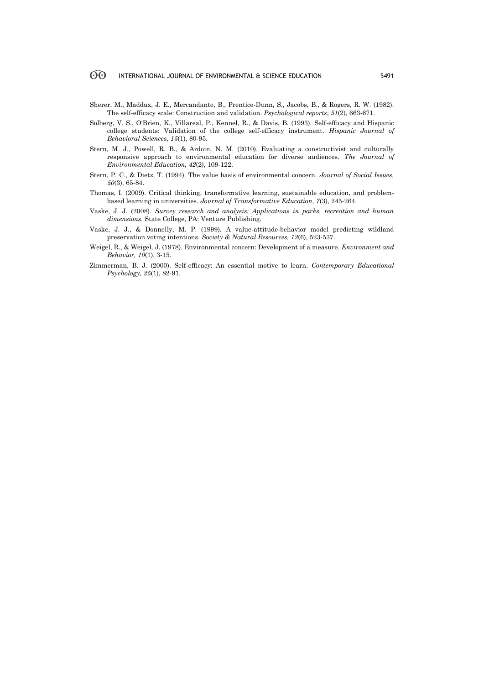- Sherer, M., Maddux, J. E., Mercandante, B., Prentice-Dunn, S., Jacobs, B., & Rogers, R. W. (1982). The self-efficacy scale: Construction and validation. *Psychological reports*, *51*(2), 663-671.
- Solberg, V. S., O'Brien, K., Villareal, P., Kennel, R., & Davis, B. (1993). Self-efficacy and Hispanic college students: Validation of the college self-efficacy instrument. *Hispanic Journal of Behavioral Sciences, 15*(1), 80-95.
- Stern, M. J., Powell, R. B., & Ardoin, N. M. (2010). Evaluating a constructivist and culturally responsive approach to environmental education for diverse audiences. *The Journal of Environmental Education, 42*(2), 109-122.
- Stern, P. C., & Dietz, T. (1994). The value basis of environmental concern. *Journal of Social Issues, 50*(3), 65-84.
- Thomas, I. (2009). Critical thinking, transformative learning, sustainable education, and problembased learning in universities. *Journal of Transformative Education, 7*(3), 245-264.
- Vaske, J. J. (2008). *Survey research and analysis: Applications in parks, recreation and human dimensions*. State College, PA: Venture Publishing.
- Vaske, J. J., & Donnelly, M. P. (1999). A value-attitude-behavior model predicting wildland preservation voting intentions. *Society & Natural Resources, 12*(6), 523-537.
- Weigel, R., & Weigel, J. (1978). Environmental concern: Development of a measure. *Environment and Behavior, 10*(1), 3-15.
- Zimmerman, B. J. (2000). Self-efficacy: An essential motive to learn. *Contemporary Educational Psychology, 25*(1), 82-91.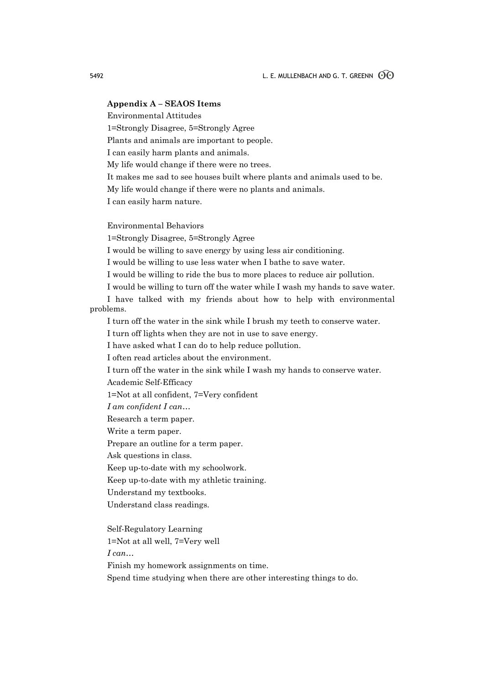### **Appendix A – SEAOS Items**

Environmental Attitudes

1=Strongly Disagree, 5=Strongly Agree

Plants and animals are important to people.

I can easily harm plants and animals.

My life would change if there were no trees.

It makes me sad to see houses built where plants and animals used to be.

My life would change if there were no plants and animals.

I can easily harm nature.

Environmental Behaviors

1=Strongly Disagree, 5=Strongly Agree

I would be willing to save energy by using less air conditioning.

I would be willing to use less water when I bathe to save water.

I would be willing to ride the bus to more places to reduce air pollution.

I would be willing to turn off the water while I wash my hands to save water.

I have talked with my friends about how to help with environmental problems.

I turn off the water in the sink while I brush my teeth to conserve water.

I turn off lights when they are not in use to save energy.

I have asked what I can do to help reduce pollution.

I often read articles about the environment.

I turn off the water in the sink while I wash my hands to conserve water.

Academic Self-Efficacy

1=Not at all confident, 7=Very confident

*I am confident I can…*

Research a term paper.

Write a term paper.

Prepare an outline for a term paper.

Ask questions in class.

Keep up-to-date with my schoolwork.

Keep up-to-date with my athletic training.

Understand my textbooks.

Understand class readings.

Self-Regulatory Learning

1=Not at all well, 7=Very well

*I can…*

Finish my homework assignments on time.

Spend time studying when there are other interesting things to do.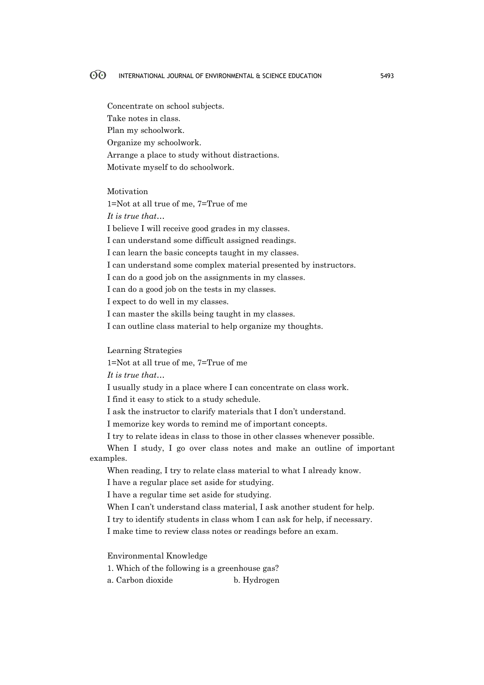Concentrate on school subjects. Take notes in class. Plan my schoolwork. Organize my schoolwork. Arrange a place to study without distractions. Motivate myself to do schoolwork.

Motivation

1=Not at all true of me, 7=True of me *It is true that…* I believe I will receive good grades in my classes. I can understand some difficult assigned readings. I can learn the basic concepts taught in my classes. I can understand some complex material presented by instructors. I can do a good job on the assignments in my classes. I can do a good job on the tests in my classes. I expect to do well in my classes. I can master the skills being taught in my classes. I can outline class material to help organize my thoughts.

Learning Strategies

1=Not at all true of me, 7=True of me

*It is true that…*

I usually study in a place where I can concentrate on class work.

I find it easy to stick to a study schedule.

I ask the instructor to clarify materials that I don't understand.

I memorize key words to remind me of important concepts.

I try to relate ideas in class to those in other classes whenever possible.

When I study, I go over class notes and make an outline of important examples.

When reading, I try to relate class material to what I already know.

I have a regular place set aside for studying.

I have a regular time set aside for studying.

When I can't understand class material, I ask another student for help.

I try to identify students in class whom I can ask for help, if necessary.

I make time to review class notes or readings before an exam.

Environmental Knowledge

1. Which of the following is a greenhouse gas?

a. Carbon dioxide b. Hydrogen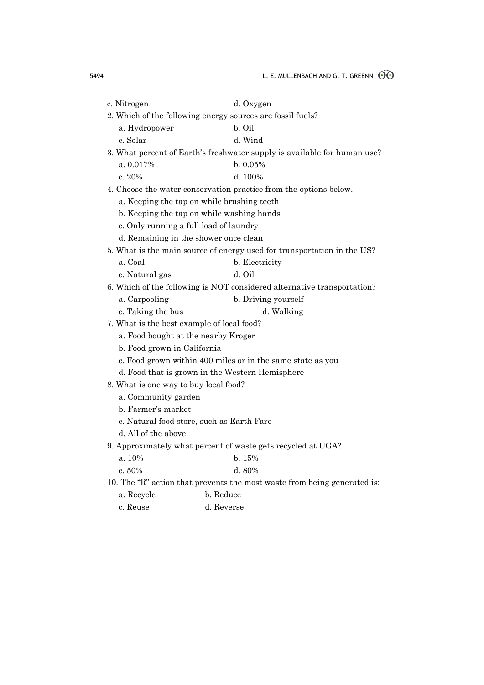| c. Nitrogen                                | d. Oxygen                                                                |
|--------------------------------------------|--------------------------------------------------------------------------|
|                                            | 2. Which of the following energy sources are fossil fuels?               |
| a. Hydropower                              | b. Oil                                                                   |
| c. Solar                                   | d. Wind                                                                  |
|                                            | 3. What percent of Earth's freshwater supply is available for human use? |
| a. 0.017%                                  | b. 0.05%                                                                 |
| c. $20%$                                   | d. 100%                                                                  |
|                                            | 4. Choose the water conservation practice from the options below.        |
|                                            | a. Keeping the tap on while brushing teeth                               |
|                                            | b. Keeping the tap on while washing hands                                |
| c. Only running a full load of laundry     |                                                                          |
| d. Remaining in the shower once clean      |                                                                          |
|                                            | 5. What is the main source of energy used for transportation in the US?  |
| a. Coal                                    | b. Electricity                                                           |
| c. Natural gas                             | d. Oil                                                                   |
|                                            | 6. Which of the following is NOT considered alternative transportation?  |
| a. Carpooling                              | b. Driving yourself                                                      |
| c. Taking the bus                          | d. Walking                                                               |
| 7. What is the best example of local food? |                                                                          |
| a. Food bought at the nearby Kroger        |                                                                          |
| b. Food grown in California                |                                                                          |
|                                            | c. Food grown within 400 miles or in the same state as you               |
|                                            | d. Food that is grown in the Western Hemisphere                          |
| 8. What is one way to buy local food?      |                                                                          |
| a. Community garden                        |                                                                          |
| b. Farmer's market                         |                                                                          |
|                                            | c. Natural food store, such as Earth Fare                                |
| d. All of the above                        |                                                                          |
|                                            | 9. Approximately what percent of waste gets recycled at UGA?             |
| a. 10%                                     | b. 15%                                                                   |
| c. $50\%$                                  | d.80%                                                                    |
|                                            | 10. The "R" action that prevents the most waste from being generated is: |
| a. Recycle                                 | b. Reduce                                                                |

c. Reuse d. Reverse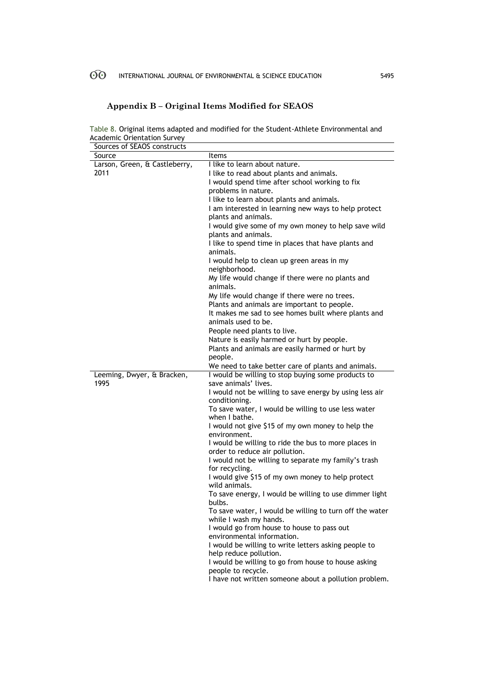# **Appendix B – Original Items Modified for SEAOS**

Table 8. Original items adapted and modified for the Student-Athlete Environmental and Academic Orientation Survey

| Sources of SEAOS constructs   |                                                                                        |
|-------------------------------|----------------------------------------------------------------------------------------|
| Source                        | <b>Items</b>                                                                           |
| Larson, Green, & Castleberry, | I like to learn about nature.                                                          |
| 2011                          | I like to read about plants and animals.                                               |
|                               | I would spend time after school working to fix                                         |
|                               | problems in nature.                                                                    |
|                               | I like to learn about plants and animals.                                              |
|                               | I am interested in learning new ways to help protect                                   |
|                               | plants and animals.                                                                    |
|                               | I would give some of my own money to help save wild                                    |
|                               | plants and animals.                                                                    |
|                               | I like to spend time in places that have plants and<br>animals.                        |
|                               | I would help to clean up green areas in my<br>neighborhood.                            |
|                               | My life would change if there were no plants and<br>animals.                           |
|                               | My life would change if there were no trees.                                           |
|                               | Plants and animals are important to people.                                            |
|                               | It makes me sad to see homes built where plants and                                    |
|                               | animals used to be.                                                                    |
|                               | People need plants to live.                                                            |
|                               | Nature is easily harmed or hurt by people.                                             |
|                               | Plants and animals are easily harmed or hurt by                                        |
|                               | people.                                                                                |
|                               | We need to take better care of plants and animals.                                     |
| Leeming, Dwyer, & Bracken,    | I would be willing to stop buying some products to                                     |
| 1995                          | save animals' lives.                                                                   |
|                               | I would not be willing to save energy by using less air                                |
|                               | conditioning.                                                                          |
|                               | To save water, I would be willing to use less water<br>when I bathe.                   |
|                               | I would not give \$15 of my own money to help the<br>environment.                      |
|                               | I would be willing to ride the bus to more places in<br>order to reduce air pollution. |
|                               | I would not be willing to separate my family's trash                                   |
|                               | for recycling.                                                                         |
|                               | I would give \$15 of my own money to help protect<br>wild animals.                     |
|                               | To save energy, I would be willing to use dimmer light                                 |
|                               | bulbs.<br>To save water, I would be willing to turn off the water                      |
|                               | while I wash my hands.<br>I would go from house to house to pass out                   |
|                               | environmental information.                                                             |
|                               | I would be willing to write letters asking people to                                   |
|                               | help reduce pollution.                                                                 |
|                               | I would be willing to go from house to house asking                                    |
|                               |                                                                                        |
|                               | people to recycle.                                                                     |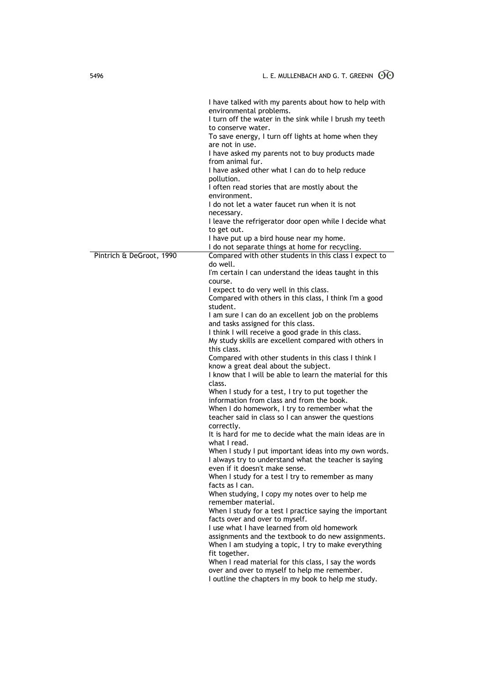|                          | I have talked with my parents about how to help with<br>environmental problems.<br>I turn off the water in the sink while I brush my teeth<br>to conserve water.<br>To save energy, I turn off lights at home when they<br>are not in use.<br>I have asked my parents not to buy products made<br>from animal fur.<br>I have asked other what I can do to help reduce<br>pollution.<br>I often read stories that are mostly about the<br>environment.<br>I do not let a water faucet run when it is not<br>necessary.<br>I leave the refrigerator door open while I decide what<br>to get out.<br>I have put up a bird house near my home.<br>I do not separate things at home for recycling. |
|--------------------------|-----------------------------------------------------------------------------------------------------------------------------------------------------------------------------------------------------------------------------------------------------------------------------------------------------------------------------------------------------------------------------------------------------------------------------------------------------------------------------------------------------------------------------------------------------------------------------------------------------------------------------------------------------------------------------------------------|
| Pintrich & DeGroot, 1990 | Compared with other students in this class I expect to                                                                                                                                                                                                                                                                                                                                                                                                                                                                                                                                                                                                                                        |
|                          | do well.                                                                                                                                                                                                                                                                                                                                                                                                                                                                                                                                                                                                                                                                                      |
|                          | I'm certain I can understand the ideas taught in this                                                                                                                                                                                                                                                                                                                                                                                                                                                                                                                                                                                                                                         |
|                          | course.<br>I expect to do very well in this class.                                                                                                                                                                                                                                                                                                                                                                                                                                                                                                                                                                                                                                            |
|                          | Compared with others in this class, I think I'm a good                                                                                                                                                                                                                                                                                                                                                                                                                                                                                                                                                                                                                                        |
|                          | student.                                                                                                                                                                                                                                                                                                                                                                                                                                                                                                                                                                                                                                                                                      |
|                          | I am sure I can do an excellent job on the problems<br>and tasks assigned for this class.                                                                                                                                                                                                                                                                                                                                                                                                                                                                                                                                                                                                     |
|                          | I think I will receive a good grade in this class.                                                                                                                                                                                                                                                                                                                                                                                                                                                                                                                                                                                                                                            |
|                          | My study skills are excellent compared with others in                                                                                                                                                                                                                                                                                                                                                                                                                                                                                                                                                                                                                                         |
|                          | this class.<br>Compared with other students in this class I think I                                                                                                                                                                                                                                                                                                                                                                                                                                                                                                                                                                                                                           |
|                          | know a great deal about the subject.                                                                                                                                                                                                                                                                                                                                                                                                                                                                                                                                                                                                                                                          |
|                          | I know that I will be able to learn the material for this                                                                                                                                                                                                                                                                                                                                                                                                                                                                                                                                                                                                                                     |
|                          | class.<br>When I study for a test, I try to put together the                                                                                                                                                                                                                                                                                                                                                                                                                                                                                                                                                                                                                                  |
|                          | information from class and from the book.                                                                                                                                                                                                                                                                                                                                                                                                                                                                                                                                                                                                                                                     |
|                          | When I do homework, I try to remember what the                                                                                                                                                                                                                                                                                                                                                                                                                                                                                                                                                                                                                                                |
|                          | teacher said in class so I can answer the questions                                                                                                                                                                                                                                                                                                                                                                                                                                                                                                                                                                                                                                           |
|                          | correctly.<br>It is hard for me to decide what the main ideas are in                                                                                                                                                                                                                                                                                                                                                                                                                                                                                                                                                                                                                          |
|                          | what I read.                                                                                                                                                                                                                                                                                                                                                                                                                                                                                                                                                                                                                                                                                  |
|                          | When I study I put important ideas into my own words.                                                                                                                                                                                                                                                                                                                                                                                                                                                                                                                                                                                                                                         |
|                          | I always try to understand what the teacher is saying<br>even if it doesn't make sense.                                                                                                                                                                                                                                                                                                                                                                                                                                                                                                                                                                                                       |
|                          | When I study for a test I try to remember as many                                                                                                                                                                                                                                                                                                                                                                                                                                                                                                                                                                                                                                             |
|                          | facts as I can.                                                                                                                                                                                                                                                                                                                                                                                                                                                                                                                                                                                                                                                                               |
|                          | When studying, I copy my notes over to help me                                                                                                                                                                                                                                                                                                                                                                                                                                                                                                                                                                                                                                                |
|                          | remember material.<br>When I study for a test I practice saying the important                                                                                                                                                                                                                                                                                                                                                                                                                                                                                                                                                                                                                 |
|                          | facts over and over to myself.                                                                                                                                                                                                                                                                                                                                                                                                                                                                                                                                                                                                                                                                |
|                          | I use what I have learned from old homework                                                                                                                                                                                                                                                                                                                                                                                                                                                                                                                                                                                                                                                   |
|                          | assignments and the textbook to do new assignments.<br>When I am studying a topic, I try to make everything                                                                                                                                                                                                                                                                                                                                                                                                                                                                                                                                                                                   |
|                          | fit together.                                                                                                                                                                                                                                                                                                                                                                                                                                                                                                                                                                                                                                                                                 |
|                          | When I read material for this class, I say the words                                                                                                                                                                                                                                                                                                                                                                                                                                                                                                                                                                                                                                          |
|                          | over and over to myself to help me remember.                                                                                                                                                                                                                                                                                                                                                                                                                                                                                                                                                                                                                                                  |
|                          | I outline the chapters in my book to help me study.                                                                                                                                                                                                                                                                                                                                                                                                                                                                                                                                                                                                                                           |